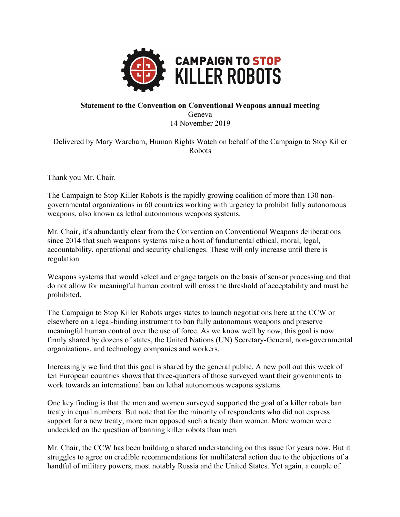

## **Statement to the Convention on Conventional Weapons annual meeting** Geneva 14 November 2019

Delivered by Mary Wareham, Human Rights Watch on behalf of the Campaign to Stop Killer Robots

Thank you Mr. Chair.

The Campaign to Stop Killer Robots is the rapidly growing coalition of more than 130 nongovernmental organizations in 60 countries working with urgency to prohibit fully autonomous weapons, also known as lethal autonomous weapons systems.

Mr. Chair, it's abundantly clear from the Convention on Conventional Weapons deliberations since 2014 that such weapons systems raise a host of fundamental ethical, moral, legal, accountability, operational and security challenges. These will only increase until there is regulation.

Weapons systems that would select and engage targets on the basis of sensor processing and that do not allow for meaningful human control will cross the threshold of acceptability and must be prohibited.

The Campaign to Stop Killer Robots urges states to launch negotiations here at the CCW or elsewhere on a legal-binding instrument to ban fully autonomous weapons and preserve meaningful human control over the use of force. As we know well by now, this goal is now firmly shared by dozens of states, the United Nations (UN) Secretary-General, non-governmental organizations, and technology companies and workers.

Increasingly we find that this goal is shared by the general public. A new poll out this week of ten European countries shows that three-quarters of those surveyed want their governments to work towards an international ban on lethal autonomous weapons systems.

One key finding is that the men and women surveyed supported the goal of a killer robots ban treaty in equal numbers. But note that for the minority of respondents who did not express support for a new treaty, more men opposed such a treaty than women. More women were undecided on the question of banning killer robots than men.

Mr. Chair, the CCW has been building a shared understanding on this issue for years now. But it struggles to agree on credible recommendations for multilateral action due to the objections of a handful of military powers, most notably Russia and the United States. Yet again, a couple of